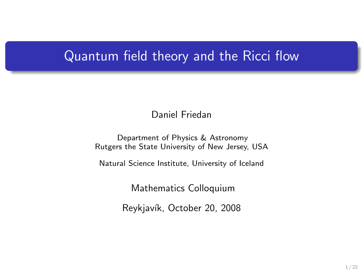## Quantum field theory and the Ricci flow

Daniel Friedan

Department of Physics & Astronomy Rutgers the State University of New Jersey, USA

Natural Science Institute, University of Iceland

Mathematics Colloquium

Reykjavík, October 20, 2008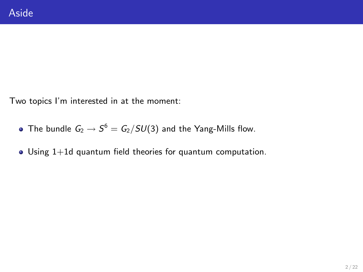Two topics I'm interested in at the moment:

- The bundle  $\mathit{G}_{2} \rightarrow \mathit{S}^{6} = \mathit{G}_{2}/SU(3)$  and the Yang-Mills flow.
- Using 1+1d quantum field theories for quantum computation.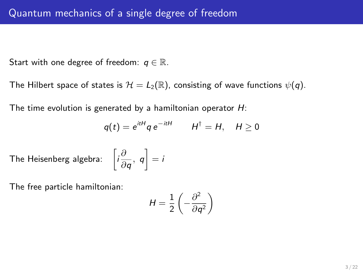Start with one degree of freedom:  $q \in \mathbb{R}$ .

The Hilbert space of states is  $\mathcal{H} = L_2(\mathbb{R})$ , consisting of wave functions  $\psi(q)$ .

The time evolution is generated by a hamiltonian operator  $H$ :

$$
q(t) = e^{itH} q e^{-itH} \qquad H^{\dagger} = H, \quad H \ge 0
$$

The Heisenberg algebra:  $\left[ i \frac{\partial}{\partial \theta} \right]$  $\left[\frac{\partial}{\partial q}, q\right] = i$ 

The free particle hamiltonian:

$$
H = \frac{1}{2} \left( -\frac{\partial^2}{\partial q^2} \right)
$$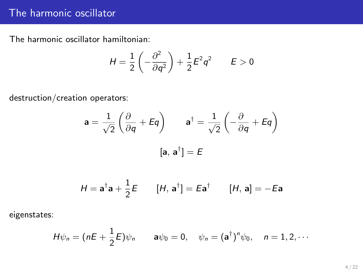## The harmonic oscillator

The harmonic oscillator hamiltonian:

$$
H = \frac{1}{2} \left( -\frac{\partial^2}{\partial q^2} \right) + \frac{1}{2} E^2 q^2 \qquad E > 0
$$

destruction/creation operators:

$$
\mathbf{a} = \frac{1}{\sqrt{2}} \left( \frac{\partial}{\partial q} + Eq \right) \qquad \mathbf{a}^{\dagger} = \frac{1}{\sqrt{2}} \left( -\frac{\partial}{\partial q} + Eq \right)
$$

$$
[\mathbf{a}, \mathbf{a}^{\dagger}] = E
$$

$$
H = \mathbf{a}^{\dagger} \mathbf{a} + \frac{1}{2} E \qquad [H, \, \mathbf{a}^{\dagger}] = E \mathbf{a}^{\dagger} \qquad [H, \, \mathbf{a}] = -E \mathbf{a}
$$

eigenstates:

$$
H\psi_n=(nE+\frac{1}{2}E)\psi_n\qquad \mathbf{a}\psi_0=0,\quad \psi_n=(\mathbf{a}^\dagger)^n\psi_0,\quad n=1,2,\cdots
$$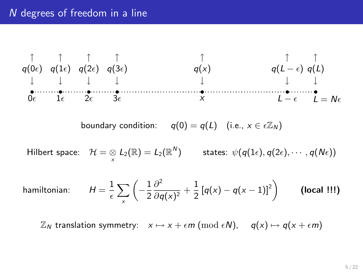#### N degrees of freedom in a line



 $\mathbb{Z}_N$  translation symmetry:  $x \mapsto x + \epsilon m \pmod{\epsilon N}$ ,  $q(x) \mapsto q(x + \epsilon m)$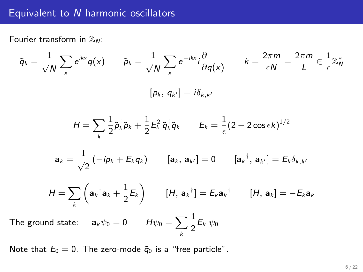#### Equivalent to N harmonic oscillators

Fourier transform in  $\mathbb{Z}_N$ :

$$
\tilde{q}_k = \frac{1}{\sqrt{N}} \sum_{x} e^{ikx} q(x) \qquad \tilde{p}_k = \frac{1}{\sqrt{N}} \sum_{x} e^{-ikx} i \frac{\partial}{\partial q(x)} \qquad k = \frac{2\pi m}{\epsilon N} = \frac{2\pi m}{L} \in \frac{1}{\epsilon} \mathbb{Z}_N^*
$$
\n
$$
[p_k, q_{k'}] = i\delta_{k,k'}
$$
\n
$$
H = \sum_{k} \frac{1}{2} \tilde{p}_k^\dagger \tilde{p}_k + \frac{1}{2} E_k^2 \tilde{q}_k^\dagger \tilde{q}_k \qquad E_k = \frac{1}{\epsilon} (2 - 2 \cos \epsilon k)^{1/2}
$$
\n
$$
\mathbf{a}_k = \frac{1}{\sqrt{2}} (-ip_k + E_k q_k) \qquad [\mathbf{a}_k, \mathbf{a}_{k'}] = 0 \qquad [\mathbf{a}_k^\dagger, \mathbf{a}_{k'}] = E_k \delta_{k,k'}
$$
\n
$$
H = \sum_{k} \left( \mathbf{a}_k^\dagger \mathbf{a}_k + \frac{1}{2} E_k \right) \qquad [H, \mathbf{a}_k^\dagger] = E_k \mathbf{a}_k^\dagger \qquad [H, \mathbf{a}_k] = -E_k \mathbf{a}_k
$$
\nis a small point  $\epsilon$ ,  $\epsilon$ ,  $\epsilon$ ,  $\epsilon$ ,  $\epsilon$ , and  $\epsilon$ , and  $\epsilon$ , and  $\epsilon$ , and  $\epsilon$ .

The ground state:  ${\bf a}_k\psi_0=0$  and  $H\psi_0=\sum \delta_{kl}$ k  $\frac{1}{2}E_k \psi_0$ 

Note that  $E_0 = 0$ . The zero-mode  $\tilde{q}_0$  is a "free particle".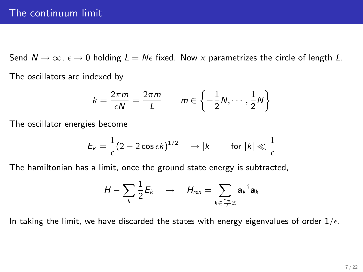Send  $N \to \infty$ ,  $\epsilon \to 0$  holding  $L = N\epsilon$  fixed. Now x parametrizes the circle of length L. The oscillators are indexed by

$$
k = \frac{2\pi m}{\epsilon N} = \frac{2\pi m}{L} \qquad m \in \left\{-\frac{1}{2}N, \cdots, \frac{1}{2}N\right\}
$$

The oscillator energies become

$$
E_k = \frac{1}{\epsilon} (2 - 2 \cos \epsilon k)^{1/2} \longrightarrow |k| \quad \text{for } |k| \ll \frac{1}{\epsilon}
$$

The hamiltonian has a limit, once the ground state energy is subtracted,

$$
H - \sum_{k} \frac{1}{2} E_k \quad \to \quad H_{ren} = \sum_{k \in \frac{2\pi}{L} \mathbb{Z}} \mathbf{a}_k^{\dagger} \mathbf{a}_k
$$

In taking the limit, we have discarded the states with energy eigenvalues of order  $1/\epsilon$ .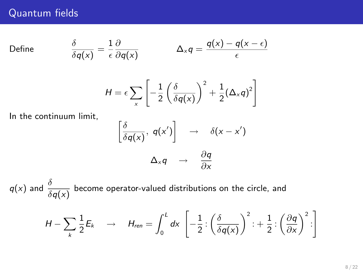## Quantum fields

Define

$$
\frac{\delta}{\delta q(x)} = \frac{1}{\epsilon} \frac{\partial}{\partial q(x)} \qquad \Delta_x q = \frac{q(x) - q(x - \epsilon)}{\epsilon}
$$

$$
H = \epsilon \sum_{x} \left[ -\frac{1}{2} \left( \frac{\delta}{\delta q(x)} \right)^2 + \frac{1}{2} (\Delta_x q)^2 \right]
$$

In the continuum limit,

$$
\left[\frac{\delta}{\delta q(x)}, q(x')\right] \rightarrow \delta(x-x')
$$

$$
\Delta_x q \rightarrow \frac{\partial q}{\partial x}
$$

 $q(x)$  and  $\frac{\delta}{\delta q(x)}$  become operator-valued distributions on the circle, and

$$
H - \sum_{k} \frac{1}{2} E_k \longrightarrow H_{ren} = \int_0^L dx \left[ -\frac{1}{2} : \left( \frac{\delta}{\delta q(x)} \right)^2 : + \frac{1}{2} : \left( \frac{\partial q}{\partial x} \right)^2 : \right]
$$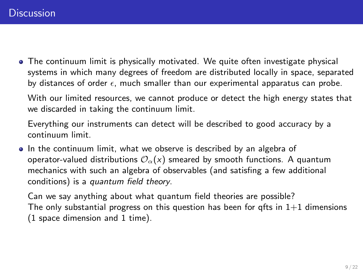The continuum limit is physically motivated. We quite often investigate physical systems in which many degrees of freedom are distributed locally in space, separated by distances of order  $\epsilon$ , much smaller than our experimental apparatus can probe.

With our limited resources, we cannot produce or detect the high energy states that we discarded in taking the continuum limit.

Everything our instruments can detect will be described to good accuracy by a continuum limit.

 $\bullet$  In the continuum limit, what we observe is described by an algebra of operator-valued distributions  $\mathcal{O}_{\alpha}(x)$  smeared by smooth functions. A quantum mechanics with such an algebra of observables (and satisfing a few additional conditions) is a quantum field theory.

Can we say anything about what quantum field theories are possible? The only substantial progress on this question has been for gfts in  $1+1$  dimensions (1 space dimension and 1 time).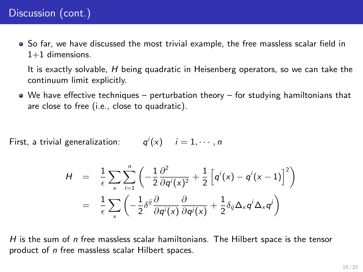So far, we have discussed the most trivial example, the free massless scalar field in  $1+1$  dimensions.

It is exactly solvable, H being quadratic in Heisenberg operators, so we can take the continuum limit explicitly.

We have effective techniques – perturbation theory – for studying hamiltonians that are close to free (i.e., close to quadratic).

First, a trivial generalization:  $q^{i}(x)$   $i = 1, \cdots, n$ 

$$
H = \frac{1}{\epsilon} \sum_{x} \sum_{i=1}^{n} \left( -\frac{1}{2} \frac{\partial^2}{\partial q^i(x)^2} + \frac{1}{2} \left[ q^i(x) - q^i(x-1) \right]^2 \right)
$$
  

$$
= \frac{1}{\epsilon} \sum_{x} \left( -\frac{1}{2} \delta^{ij} \frac{\partial}{\partial q^i(x)} \frac{\partial}{\partial q^j(x)} + \frac{1}{2} \delta_{ij} \Delta_x q^i \Delta_x q^j \right)
$$

H is the sum of  $n$  free massless scalar hamiltonians. The Hilbert space is the tensor product of n free massless scalar Hilbert spaces.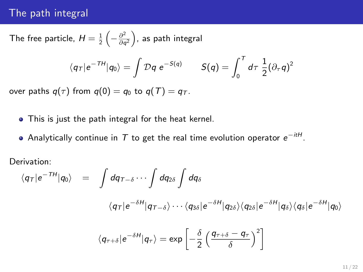#### The path integral

The free particle,  $H=\frac{1}{2}\left(-\frac{\partial^2}{\partial q}\right)$  $\left(\frac{\partial^2}{\partial q^2}\right)$ , as path integral

$$
\langle q_T | e^{-TH} | q_0 \rangle = \int \mathcal{D}q \ e^{-S(q)} \qquad S(q) = \int_0^T d\tau \ \frac{1}{2} (\partial_\tau q)^2
$$

over paths  $q(\tau)$  from  $q(0) = q_0$  to  $q(T) = q_T$ .

- This is just the path integral for the heat kernel.
- Analytically continue in  $\mathcal T$  to get the real time evolution operator  $e^{-itH}.$

Derivation:

$$
\langle q_T | e^{-TH} | q_0 \rangle = \int dq_{T-\delta} \cdots \int dq_{2\delta} \int dq_{\delta}
$$

$$
\langle q_T | e^{-\delta H} | q_{T-\delta} \rangle \cdots \langle q_{3\delta} | e^{-\delta H} | q_{2\delta} \rangle \langle q_{2\delta} | e^{-\delta H} | q_{\delta} \rangle \langle q_{\delta} | e^{-\delta H} | q_0 \rangle
$$

$$
\langle q_{T+\delta} | e^{-\delta H} | q_{T} \rangle = \exp \left[ -\frac{\delta}{2} \left( \frac{q_{T+\delta} - q_{T}}{\delta} \right)^2 \right]
$$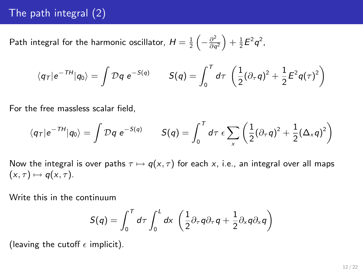## The path integral (2)

Path integral for the harmonic oscillator,  $H=\frac{1}{2}\left(-\frac{\partial^2}{\partial q^2}\right)$  $\frac{\partial^2}{\partial q^2}\Big)+\frac{1}{2}E^2q^2$  ,

$$
\langle q_T | e^{-TH} | q_0 \rangle = \int \mathcal{D}q \ e^{-S(q)} \qquad S(q) = \int_0^T d\tau \ \left( \frac{1}{2} (\partial_\tau q)^2 + \frac{1}{2} E^2 q(\tau)^2 \right)
$$

For the free massless scalar field,

$$
\langle q_T|e^{-TH}|q_0\rangle = \int \mathcal{D}q \ e^{-S(q)} \qquad S(q) = \int_0^T d\tau \ \epsilon \sum_x \left(\frac{1}{2}(\partial_\tau q)^2 + \frac{1}{2}(\Delta_x q)^2\right)
$$

Now the integral is over paths  $\tau \mapsto q(x, \tau)$  for each x, i.e., an integral over all maps  $(x, \tau) \mapsto q(x, \tau)$ .

Write this in the continuum

$$
S(q) = \int_0^T d\tau \int_0^L dx \, \left( \frac{1}{2} \partial_\tau q \partial_\tau q + \frac{1}{2} \partial_x q \partial_x q \right)
$$

(leaving the cutoff  $\epsilon$  implicit).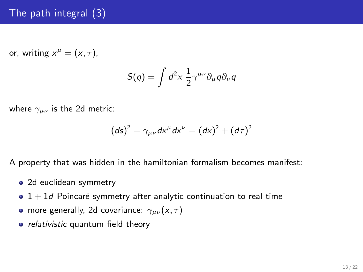## The path integral (3)

or, writing  $x^{\mu} = (x, \tau)$ ,

$$
S(q)=\int d^2x\,\frac{1}{2}\gamma^{\mu\nu}\partial_\mu q\partial_\nu q
$$

where  $\gamma_{\mu\nu}$  is the 2d metric:

$$
(ds)^2 = \gamma_{\mu\nu} dx^{\mu} dx^{\nu} = (dx)^2 + (d\tau)^2
$$

A property that was hidden in the hamiltonian formalism becomes manifest:

- 2d euclidean symmetry
- $\bullet$  1 + 1d Poincaré symmetry after analytic continuation to real time
- more generally, 2d covariance:  $\gamma_{\mu\nu}(x,\tau)$
- relativistic quantum field theory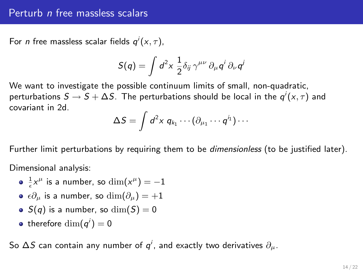#### Perturb n free massless scalars

For *n* free massless scalar fields  $q'(x, \tau)$ ,

$$
S(q)=\int d^2x\; \frac{1}{2}\delta_{ij}\,\gamma^{\mu\nu}\,\partial_\mu q^i\,\partial_\nu q^j
$$

We want to investigate the possible continuum limits of small, non-quadratic, perturbations  $\mathcal{S}\to\mathcal{S}+\Delta\mathcal{S}.$  The perturbations should be local in the  $\mathsf{q}^i(\mathsf{x},\tau)$  and covariant in 2d.

$$
\Delta S = \int d^2x \; q_{k_1} \cdots (\partial_{\mu_1} \cdots q^{i_1}) \cdots
$$

Further limit perturbations by requiring them to be *dimensionless* (to be justified later).

Dimensional analysis:

- $\frac{1}{\epsilon}x^{\mu}$  is a number, so  $\dim(x^{\mu})=-1$
- $\bullet$   $\epsilon \partial_{\mu}$  is a number, so  $\dim(\partial_{\mu}) = +1$
- $S(q)$  is a number, so  $\dim(S) = 0$
- therefore  $\dim(q^i)=0$

So  $\Delta S$  can contain any number of  $q^i$ , and exactly two derivatives  $\partial_\mu.$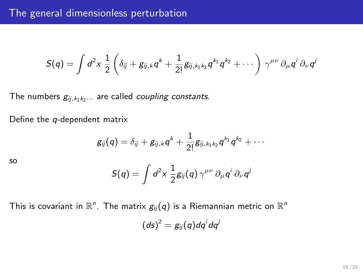$$
S(q)=\int d^2x\; \frac{1}{2}\left(\delta_{ij}+g_{ij,k}q^k+\frac{1}{2!}g_{ij,k_1k_2}q^{k_1}q^{k_2}+\cdots\right)\, \gamma^{\mu\nu}\,\partial_\mu q^i\,\partial_\nu q^j
$$

The numbers  $g_{ij,k_1k_2\cdots}$  are called *coupling constants*.

Define the q-dependent matrix

$$
g_{ij}(q)=\delta_{ij}+g_{ij,k}q^k+\frac{1}{2!}g_{ij,k_1k_2}q^{k_1}q^{k_2}+\cdots
$$

so

$$
S(q) = \int d^2x \, \frac{1}{2} g_{ij}(q) \, \gamma^{\mu\nu} \, \partial_\mu q^i \, \partial_\nu q^j
$$

This is covariant in  $\mathbb{R}^n$ . The matrix  $g_{ij}(q)$  is a Riemannian metric on  $\mathbb{R}^n$ 

$$
(ds)^2 = g_{ij}(q) dq^i dq^j
$$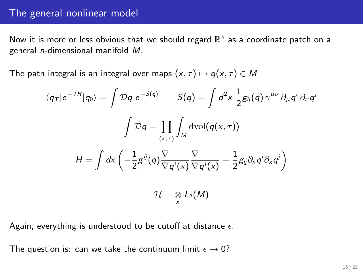#### The general nonlinear model

Now it is more or less obvious that we should regard  $\mathbb{R}^n$  as a coordinate patch on a general n-dimensional manifold M.

The path integral is an integral over maps  $(x, \tau) \mapsto q(x, \tau) \in M$ 

$$
\langle q_T | e^{-TH} | q_0 \rangle = \int \mathcal{D}q \ e^{-S(q)} \qquad S(q) = \int d^2x \ \frac{1}{2} g_{ij}(q) \, \gamma^{\mu\nu} \, \partial_\mu q^i \, \partial_\nu q^j
$$
\n
$$
\int \mathcal{D}q = \prod_{(x,\tau)} \int_M \mathrm{dvol}(q(x,\tau))
$$
\n
$$
H = \int d\mathbf{x} \left( -\frac{1}{2} g^{ij}(q) \frac{\nabla}{\nabla q^i(x)} \frac{\nabla}{\nabla q^j(x)} + \frac{1}{2} g_{ij} \partial_x q^i \partial_x q^j \right)
$$
\n
$$
\mathcal{H} = \mathcal{D} \times L_2(M)
$$

Again, everything is understood to be cutoff at distance  $\epsilon$ .

The question is: can we take the continuum limit  $\epsilon \to 0$ ?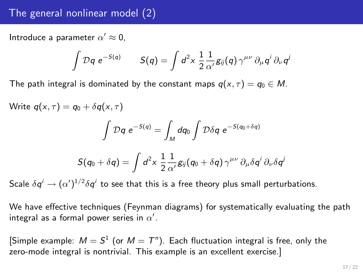## The general nonlinear model (2)

Introduce a parameter  $\alpha' \approx 0$ ,

$$
\int \mathcal{D}q \ e^{-S(q)} \qquad S(q) = \int d^2x \ \frac{1}{2} \frac{1}{\alpha'} g_{ij}(q) \ \gamma^{\mu\nu} \ \partial_\mu q^i \ \partial_\nu q^j
$$

The path integral is dominated by the constant maps  $q(x, \tau) = q_0 \in M$ .

Write  $q(x, \tau) = q_0 + \delta q(x, \tau)$ 

$$
\int \mathcal{D}q \ e^{-S(q)} = \int_M dq_0 \int \mathcal{D}\delta q \ e^{-S(q_0+\delta q)}
$$

$$
S(q_0 + \delta q) = \int d^2x \; \frac{1}{2} \frac{1}{\alpha'} g_{ij}(q_0 + \delta q) \, \gamma^{\mu\nu} \, \partial_\mu \delta q^i \, \partial_\nu \delta q^j
$$

Scale  $\delta q^i \rightarrow (\alpha')^{1/2} \delta q^i$  to see that this is a free theory plus small perturbations.

We have effective techniques (Feynman diagrams) for systematically evaluating the path integral as a formal power series in  $\alpha'.$ 

[Simple example:  $M = S^1$  (or  $M = T^n$ ). Each fluctuation integral is free, only the zero-mode integral is nontrivial. This example is an excellent exercise.]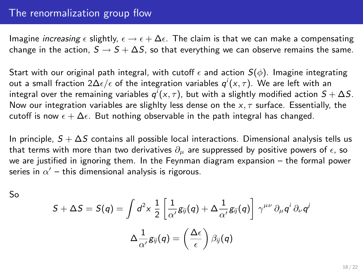### The renormalization group flow

Imagine *increasing*  $\epsilon$  slightly,  $\epsilon \to \epsilon + \Delta \epsilon$ . The claim is that we can make a compensating change in the action,  $S \rightarrow S + \Delta S$ , so that everything we can observe remains the same.

Start with our original path integral, with cutoff  $\epsilon$  and action  $S(\phi)$ . Imagine integrating out a small fraction 2 $\Delta \epsilon/\epsilon$  of the integration variables  $q^i(\mathsf{x},\tau).$  We are left with an integral over the remaining variables  $q'(x,\tau)$ , but with a slightly modified action  $\mathcal{S}+\Delta\mathcal{S}.$ Now our integration variables are slighlty less dense on the  $x, \tau$  surface. Essentially, the cutoff is now  $\epsilon + \Delta \epsilon$ . But nothing observable in the path integral has changed.

In principle,  $S + \Delta S$  contains all possible local interactions. Dimensional analysis tells us that terms with more than two derivatives  $\partial_{\mu}$  are suppressed by positive powers of  $\epsilon$ , so we are justified in ignoring them. In the Feynman diagram expansion – the formal power series in  $\alpha'$  – this dimensional analysis is rigorous.

So

$$
S + \Delta S = S(q) = \int d^2x \frac{1}{2} \left[ \frac{1}{\alpha'} g_{ij}(q) + \Delta \frac{1}{\alpha'} g_{ij}(q) \right] \gamma^{\mu\nu} \partial_\mu q^i \partial_\nu q^j
$$

$$
\Delta \frac{1}{\alpha'} g_{ij}(q) = \left( \frac{\Delta \epsilon}{\epsilon} \right) \beta_{ij}(q)
$$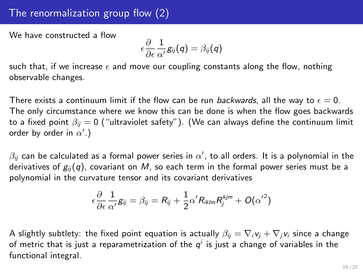## The renormalization group flow (2)

We have constructed a flow

$$
\epsilon\frac{\partial}{\partial \epsilon}\frac{1}{\alpha'}\mathsf{g}_{ij}(\mathsf{q})=\beta_{ij}(\mathsf{q})
$$

such that, if we increase  $\epsilon$  and move our coupling constants along the flow, nothing observable changes.

There exists a continuum limit if the flow can be run backwards, all the way to  $\epsilon = 0$ . The only circumstance where we know this can be done is when the flow goes backwards to a fixed point  $\beta_{ii} = 0$  ("ultraviolet safety"). (We can always define the continuum limit order by order in  $\alpha'.$  )

 $\beta_{ij}$  can be calculated as a formal power series in  $\alpha'$ , to all orders. It is a polynomial in the derivatives of  $g_{ij}(q)$ , covariant on M, so each term in the formal power series must be a polynomial in the curvature tensor and its covariant derivatives

$$
\epsilon \frac{\partial}{\partial \epsilon} \frac{1}{\alpha'} g_{ij} = \beta_{ij} = R_{ij} + \frac{1}{2} \alpha' R_{iklm} R_j^{kjm} + O(\alpha'^2)
$$

A slightly subtlety: the fixed point equation is actually  $\beta_{ij} = \nabla_i v_i + \nabla_j v_i$  since a change of metric that is just a reparametrization of the  $q^i$  is just a change of variables in the functional integral.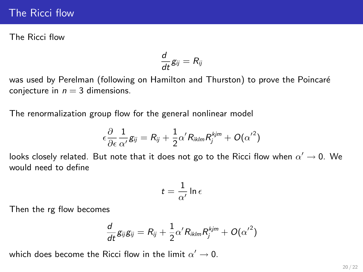### The Ricci flow

The Ricci flow

$$
\frac{d}{dt}g_{ij}=R_{ij}
$$

was used by Perelman (following on Hamilton and Thurston) to prove the Poincaré conjecture in  $n = 3$  dimensions.

The renormalization group flow for the general nonlinear model

$$
\epsilon \frac{\partial}{\partial \epsilon} \frac{1}{\alpha'} g_{ij} = R_{ij} + \frac{1}{2} \alpha' R_{iklm} R_j^{kjm} + O(\alpha'^2)
$$

looks closely related. But note that it does not go to the Ricci flow when  $\alpha'\to 0.$  We would need to define

$$
t=\frac{1}{\alpha'}\ln \epsilon
$$

Then the rg flow becomes

$$
\frac{d}{dt} \textit{g}_{ij} \textit{g}_{ij} = \textit{R}_{ij} + \frac{1}{2} \alpha' \textit{R}_{iklm} \textit{R}_{j}^{kjm} + \textit{O}({\alpha'}^{2})
$$

which does become the Ricci flow in the limit  $\alpha'\rightarrow 0.$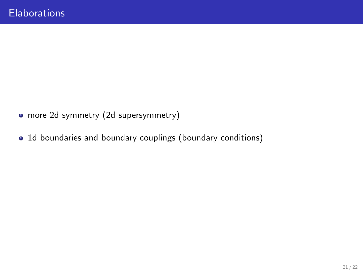- more 2d symmetry (2d supersymmetry)
- 1d boundaries and boundary couplings (boundary conditions)